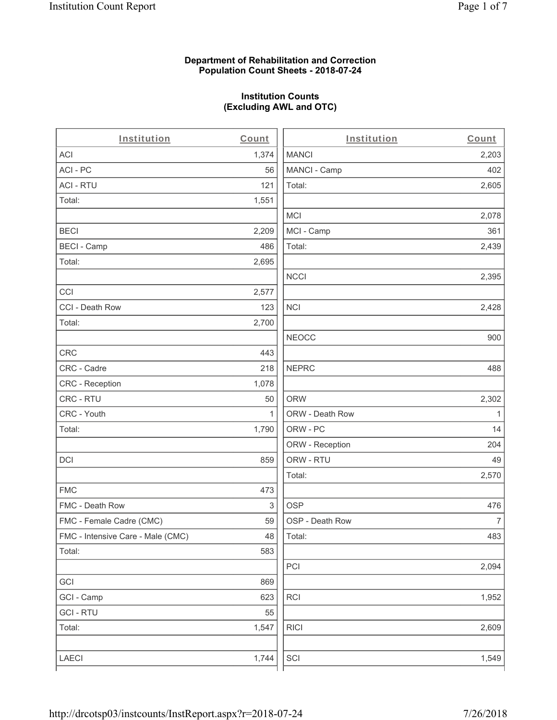## **Department of Rehabilitation and Correction Population Count Sheets - 2018-07-24**

## **Institution Counts (Excluding AWL and OTC)**

 $\overline{a}$ .

| Institution                       | Count        | Institution     | Count        |
|-----------------------------------|--------------|-----------------|--------------|
| <b>ACI</b>                        | 1,374        | <b>MANCI</b>    | 2,203        |
| ACI-PC                            | 56           | MANCI - Camp    | 402          |
| <b>ACI - RTU</b>                  | 121          | Total:          | 2,605        |
| Total:                            | 1,551        |                 |              |
|                                   |              | MCI             | 2,078        |
| <b>BECI</b>                       | 2,209        | MCI - Camp      | 361          |
| <b>BECI - Camp</b>                | 486          | Total:          | 2,439        |
| Total:                            | 2,695        |                 |              |
|                                   |              | <b>NCCI</b>     | 2,395        |
| CCI                               | 2,577        |                 |              |
| CCI - Death Row                   | 123          | <b>NCI</b>      | 2,428        |
| Total:                            | 2,700        |                 |              |
|                                   |              | <b>NEOCC</b>    | 900          |
| <b>CRC</b>                        | 443          |                 |              |
| CRC - Cadre                       | 218          | <b>NEPRC</b>    | 488          |
| <b>CRC</b> - Reception            | 1,078        |                 |              |
| CRC - RTU                         | 50           | <b>ORW</b>      | 2,302        |
| CRC - Youth                       | $\mathbf{1}$ | ORW - Death Row | $\mathbf{1}$ |
| Total:                            | 1,790        | ORW - PC        | 14           |
|                                   |              | ORW - Reception | 204          |
| DCI                               | 859          | ORW - RTU       | 49           |
|                                   |              | Total:          | 2,570        |
| <b>FMC</b>                        | 473          |                 |              |
| FMC - Death Row                   | 3            | <b>OSP</b>      | 476          |
| FMC - Female Cadre (CMC)          | 59           | OSP - Death Row | 7            |
| FMC - Intensive Care - Male (CMC) | 48           | Total:          | 483          |
| Total:                            | 583          |                 |              |
|                                   |              | PCI             | 2,094        |
| GCI                               | 869          |                 |              |
| GCI - Camp                        | 623          | RCI             | 1,952        |
| <b>GCI - RTU</b>                  | 55           |                 |              |
| Total:                            | 1,547        | <b>RICI</b>     | 2,609        |
| <b>LAECI</b>                      | 1,744        | SCI             | 1,549        |
|                                   |              |                 |              |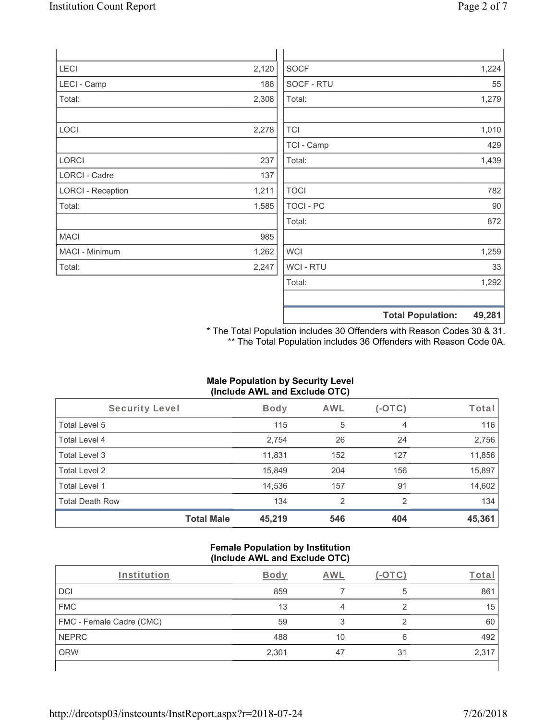| LECI                     | 2,120 | <b>SOCF</b>      | 1,224                              |
|--------------------------|-------|------------------|------------------------------------|
| LECI - Camp              | 188   | SOCF - RTU       | 55                                 |
| Total:                   | 2,308 | Total:           | 1,279                              |
|                          |       |                  |                                    |
| <b>LOCI</b>              | 2,278 | <b>TCI</b>       | 1,010                              |
|                          |       | TCI - Camp       | 429                                |
| LORCI                    | 237   | Total:           | 1,439                              |
| <b>LORCI - Cadre</b>     | 137   |                  |                                    |
| <b>LORCI - Reception</b> | 1,211 | <b>TOCI</b>      | 782                                |
| Total:                   | 1,585 | <b>TOCI - PC</b> | 90                                 |
|                          |       | Total:           | 872                                |
| <b>MACI</b>              | 985   |                  |                                    |
| MACI - Minimum           | 1,262 | <b>WCI</b>       | 1,259                              |
| Total:                   | 2,247 | WCI - RTU        | 33                                 |
|                          |       | Total:           | 1,292                              |
|                          |       |                  |                                    |
|                          |       |                  | <b>Total Population:</b><br>49,281 |

\* The Total Population includes 30 Offenders with Reason Codes 30 & 31. \*\* The Total Population includes 36 Offenders with Reason Code 0A.

## **Male Population by Security Level (Include AWL and Exclude OTC)**

| Security Level         |                   | <b>Body</b> | AWL            | $(-OTC)$ | Total  |
|------------------------|-------------------|-------------|----------------|----------|--------|
| Total Level 5          |                   | 115         | 5              | 4        | 116    |
| Total Level 4          |                   | 2,754       | 26             | 24       | 2,756  |
| Total Level 3          |                   | 11,831      | 152            | 127      | 11,856 |
| Total Level 2          |                   | 15,849      | 204            | 156      | 15,897 |
| Total Level 1          |                   | 14,536      | 157            | 91       | 14,602 |
| <b>Total Death Row</b> |                   | 134         | $\overline{2}$ | 2        | 134    |
|                        | <b>Total Male</b> | 45,219      | 546            | 404      | 45,361 |

#### **Female Population by Institution (Include AWL and Exclude OTC)**

| Institution              | <b>Body</b> | AWL |    | Total |
|--------------------------|-------------|-----|----|-------|
| DCI                      | 859         |     | 5  | 861   |
| <b>FMC</b>               | 13          |     |    | 15    |
| FMC - Female Cadre (CMC) | 59          |     |    | 60    |
| <b>NEPRC</b>             | 488         | 10  | 6  | 492   |
| <b>ORW</b>               | 2,301       | 47  | 31 | 2,317 |
|                          |             |     |    |       |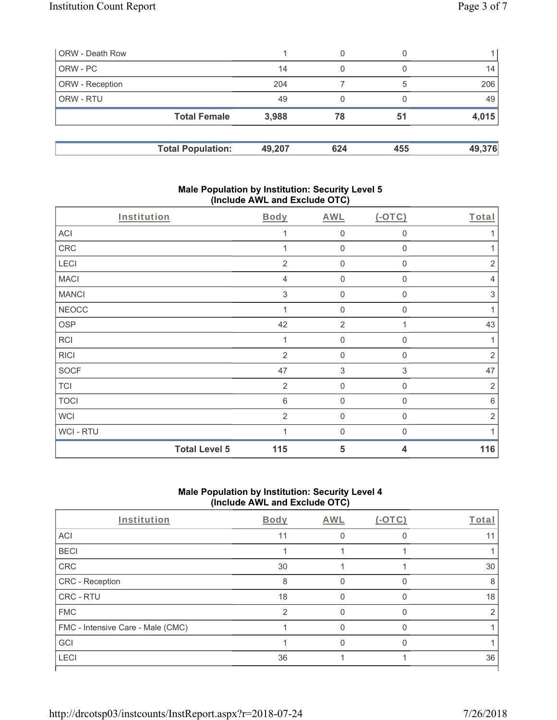| ORW - Death Row        |                          |        | 0   |     |        |
|------------------------|--------------------------|--------|-----|-----|--------|
| ORW - PC               |                          | 14     | 0   |     | 14     |
| <b>ORW</b> - Reception |                          | 204    |     | 5   | 206    |
| <b>ORW - RTU</b>       |                          | 49     | 0   |     | 49     |
|                        | <b>Total Female</b>      | 3,988  | 78  | 51  | 4,015  |
|                        | <b>Total Population:</b> | 49,207 | 624 | 455 | 49,376 |

### **Male Population by Institution: Security Level 5 (Include AWL and Exclude OTC)**

| <b>Total Level 5</b> | 115            | 5              | 4                | 116            |
|----------------------|----------------|----------------|------------------|----------------|
| WCI - RTU            |                | $\mathbf{0}$   | $\mathbf 0$      |                |
| <b>WCI</b>           | $\overline{2}$ | $\mathbf 0$    | $\Omega$         | $\overline{2}$ |
| <b>TOCI</b>          | $\,6$          | $\mathbf 0$    | $\mathbf 0$      | $6\,$          |
| <b>TCI</b>           | $\overline{2}$ | $\mathbf 0$    | 0                | $\sqrt{2}$     |
| <b>SOCF</b>          | 47             | $\sqrt{3}$     | $\sqrt{3}$       | 47             |
| <b>RICI</b>          | 2              | $\mathbf 0$    | $\mathbf{0}$     | $\overline{2}$ |
| <b>RCI</b>           | 1              | $\mathbf 0$    | $\mathbf 0$      | 1              |
| <b>OSP</b>           | 42             | $\overline{2}$ |                  | 43             |
| <b>NEOCC</b>         |                | $\mathbf 0$    | $\mathbf 0$      | 1              |
| <b>MANCI</b>         | $\mathfrak{S}$ | $\mathbf 0$    | $\mathbf 0$      | $\sqrt{3}$     |
| <b>MACI</b>          | 4              | $\mathbf 0$    | $\mathbf 0$      | $\overline{4}$ |
| LECI                 | $\overline{2}$ | $\mathbf 0$    | 0                | $\sqrt{2}$     |
| CRC                  |                | $\mathbf 0$    | $\mathbf 0$      |                |
| <b>ACI</b>           |                | $\mathbf 0$    | $\boldsymbol{0}$ |                |
| Institution          | <b>Body</b>    | <b>AWL</b>     | $(-OTC)$         | Total          |

# **Male Population by Institution: Security Level 4 (Include AWL and Exclude OTC)**

| Institution                       | Body | AWL | $(-OTC)$ | Total |
|-----------------------------------|------|-----|----------|-------|
| ACI                               | 11   |     |          |       |
| <b>BECI</b>                       |      |     |          |       |
| CRC                               | 30   |     |          | 30    |
| CRC - Reception                   | 8    |     |          | 8     |
| <b>CRC - RTU</b>                  | 18   |     |          | 18    |
| <b>FMC</b>                        | 2    |     |          |       |
| FMC - Intensive Care - Male (CMC) |      |     |          |       |
| GCI                               |      |     |          |       |
| <b>LECI</b>                       | 36   |     |          | 36    |
|                                   |      |     |          |       |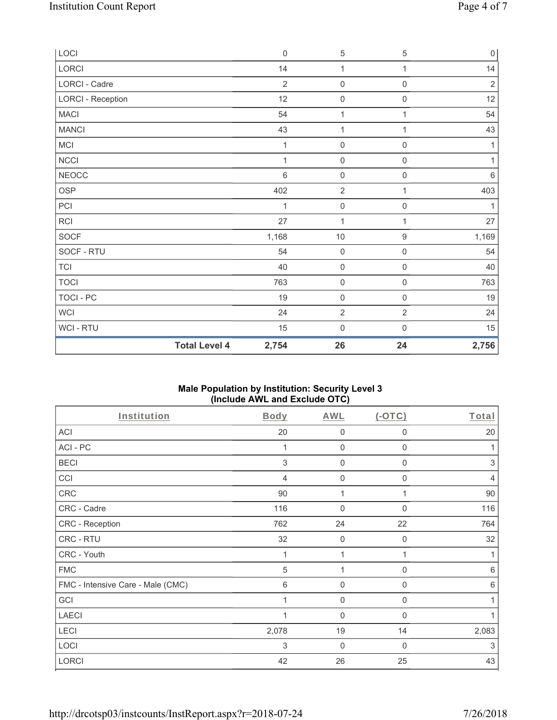| LOCI                     |                      | $\mathbf 0$     | $\,$ 5 $\,$         | $\,$ 5 $\,$         | $\mathsf{O}\xspace$ |
|--------------------------|----------------------|-----------------|---------------------|---------------------|---------------------|
| LORCI                    |                      | 14              | 1                   | 1                   | 14                  |
| LORCI - Cadre            |                      | $\overline{2}$  | $\mathsf{O}\xspace$ | $\mathsf{O}\xspace$ | $\sqrt{2}$          |
| <b>LORCI - Reception</b> |                      | 12              | $\mathsf{O}\xspace$ | $\mathsf{O}\xspace$ | 12                  |
| <b>MACI</b>              |                      | 54              | 1                   | 1                   | 54                  |
| <b>MANCI</b>             |                      | 43              | $\mathbf{1}$        | 1                   | 43                  |
| MCI                      |                      | 1               | $\mathsf{O}\xspace$ | $\mathsf{O}\xspace$ | 1                   |
| <b>NCCI</b>              |                      | 1               | $\mathsf{O}\xspace$ | 0                   | 1                   |
| <b>NEOCC</b>             |                      | $6\phantom{1}6$ | $\mathsf{O}\xspace$ | $\mathsf{O}\xspace$ | $\,6\,$             |
| <b>OSP</b>               |                      | 402             | $\overline{2}$      | 1                   | 403                 |
| PCI                      |                      | 1               | $\mathsf{O}\xspace$ | $\mathbf 0$         | 1                   |
| <b>RCI</b>               |                      | 27              | $\mathbf{1}$        | 1                   | 27                  |
| SOCF                     |                      | 1,168           | $10$                | $\boldsymbol{9}$    | 1,169               |
| SOCF - RTU               |                      | 54              | $\mathsf{O}\xspace$ | $\mathsf{O}\xspace$ | 54                  |
| <b>TCI</b>               |                      | 40              | $\mathsf{O}\xspace$ | $\mathsf{O}\xspace$ | 40                  |
| <b>TOCI</b>              |                      | 763             | $\mathsf{O}\xspace$ | $\mathsf{O}\xspace$ | 763                 |
| <b>TOCI - PC</b>         |                      | 19              | $\mathsf{O}\xspace$ | $\mathsf{O}\xspace$ | 19                  |
| <b>WCI</b>               |                      | 24              | $\overline{2}$      | $\overline{2}$      | 24                  |
| WCI-RTU                  |                      | 15              | $\mathsf{O}\xspace$ | $\mathsf 0$         | 15                  |
|                          | <b>Total Level 4</b> | 2,754           | 26                  | 24                  | 2,756               |

## **Male Population by Institution: Security Level 3 (Include AWL and Exclude OTC)**

| Institution                       | Body           | AWL            | $(-OTC)$     | Total          |
|-----------------------------------|----------------|----------------|--------------|----------------|
| ACI                               | 20             | 0              | 0            | 20             |
| ACI-PC                            |                | $\mathbf 0$    | 0            |                |
| <b>BECI</b>                       | 3              | $\mathbf 0$    | $\mathbf{0}$ | 3              |
| CCI                               | $\overline{4}$ | $\mathbf 0$    | $\mathbf{0}$ | $\overline{4}$ |
| CRC                               | 90             | 1              |              | 90             |
| CRC - Cadre                       | 116            | $\mathbf 0$    | $\mathbf{0}$ | 116            |
| CRC - Reception                   | 762            | 24             | 22           | 764            |
| CRC - RTU                         | 32             | $\mathbf 0$    | 0            | 32             |
| CRC - Youth                       | 1              | 1              | $\mathbf{1}$ | 1              |
| <b>FMC</b>                        | 5              | 1              | $\mathbf{0}$ | 6              |
| FMC - Intensive Care - Male (CMC) | 6              | $\overline{0}$ | $\mathbf{0}$ | 6              |
| GCI                               |                | $\mathbf 0$    | 0            |                |
| <b>LAECI</b>                      |                | $\mathbf 0$    | 0            | 1              |
| LECI                              | 2,078          | 19             | 14           | 2,083          |
| LOCI                              | 3              | $\mathbf{0}$   | $\mathbf 0$  | 3              |
| <b>LORCI</b>                      | 42             | 26             | 25           | 43             |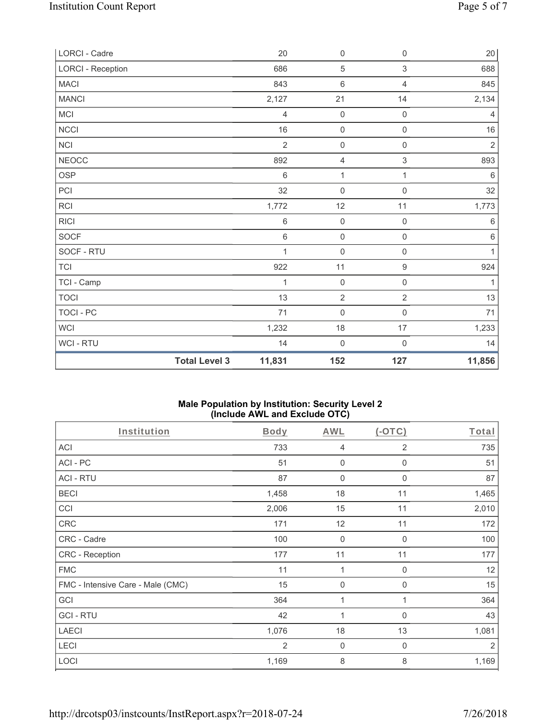| LORCI - Cadre            |                      | 20             | $\mathbf 0$         | $\mathsf{O}\xspace$ | 20             |
|--------------------------|----------------------|----------------|---------------------|---------------------|----------------|
| <b>LORCI - Reception</b> |                      | 686            | 5                   | $\sqrt{3}$          | 688            |
| <b>MACI</b>              |                      | 843            | $\,6\,$             | 4                   | 845            |
| <b>MANCI</b>             |                      | 2,127          | 21                  | 14                  | 2,134          |
| MCI                      |                      | $\overline{4}$ | $\mathbf 0$         | $\mathbf 0$         | $\overline{4}$ |
| <b>NCCI</b>              |                      | 16             | $\mathbf 0$         | $\mathsf{O}\xspace$ | 16             |
| <b>NCI</b>               |                      | $\overline{2}$ | $\mathbf 0$         | $\mathsf{O}\xspace$ | $\sqrt{2}$     |
| <b>NEOCC</b>             |                      | 892            | $\overline{4}$      | $\mathfrak{S}$      | 893            |
| <b>OSP</b>               |                      | $\,6\,$        | 1                   | 1                   | $\,6\,$        |
| PCI                      |                      | 32             | $\boldsymbol{0}$    | $\mathsf 0$         | 32             |
| RCI                      |                      | 1,772          | 12                  | 11                  | 1,773          |
| <b>RICI</b>              |                      | $\,6$          | $\mathsf{O}\xspace$ | $\mathsf{O}\xspace$ | $\,6\,$        |
| <b>SOCF</b>              |                      | $\,6\,$        | $\mathbf 0$         | $\mathsf 0$         | $\,6\,$        |
| SOCF - RTU               |                      | $\mathbf{1}$   | $\mathsf{O}\xspace$ | $\mathbf 0$         | 1              |
| <b>TCI</b>               |                      | 922            | 11                  | $\boldsymbol{9}$    | 924            |
| TCI - Camp               |                      | 1              | $\mathbf 0$         | $\mathsf 0$         | 1              |
| <b>TOCI</b>              |                      | 13             | $\sqrt{2}$          | $\mathbf{2}$        | 13             |
| <b>TOCI - PC</b>         |                      | 71             | $\mathsf{O}\xspace$ | 0                   | 71             |
| <b>WCI</b>               |                      | 1,232          | $18$                | $17\,$              | 1,233          |
| WCI-RTU                  |                      | 14             | $\mathsf{O}\xspace$ | $\boldsymbol{0}$    | 14             |
|                          | <b>Total Level 3</b> | 11,831         | 152                 | 127                 | 11,856         |

## **Male Population by Institution: Security Level 2 (Include AWL and Exclude OTC)**

| Institution                       | <b>Body</b>    | <b>AWL</b>     | $($ -OTC $)$   | Total |
|-----------------------------------|----------------|----------------|----------------|-------|
| <b>ACI</b>                        | 733            | $\overline{4}$ | $\overline{2}$ | 735   |
| ACI-PC                            | 51             | $\mathbf 0$    | 0              | 51    |
| <b>ACI - RTU</b>                  | 87             | $\mathbf 0$    | 0              | 87    |
| <b>BECI</b>                       | 1,458          | 18             | 11             | 1,465 |
| CCI                               | 2,006          | 15             | 11             | 2,010 |
| <b>CRC</b>                        | 171            | 12             | 11             | 172   |
| CRC - Cadre                       | 100            | $\mathbf 0$    | 0              | 100   |
| CRC - Reception                   | 177            | 11             | 11             | 177   |
| <b>FMC</b>                        | 11             | 1              | 0              | 12    |
| FMC - Intensive Care - Male (CMC) | 15             | $\mathbf 0$    | 0              | 15    |
| GCI                               | 364            | 1              | 1              | 364   |
| <b>GCI-RTU</b>                    | 42             | 1              | 0              | 43    |
| <b>LAECI</b>                      | 1,076          | 18             | 13             | 1,081 |
| LECI                              | $\overline{2}$ | $\mathbf 0$    | 0              | 2     |
| <b>LOCI</b>                       | 1,169          | 8              | 8              | 1,169 |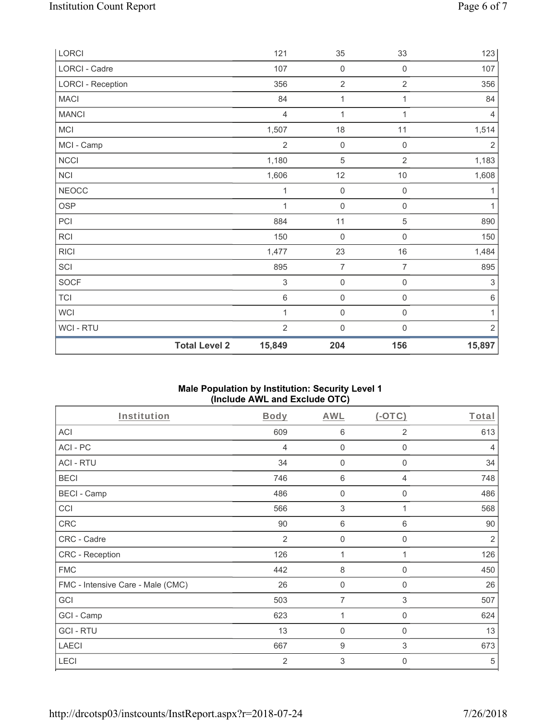| LORCI                    |                      | 121            | 35                  | 33                  | 123                       |
|--------------------------|----------------------|----------------|---------------------|---------------------|---------------------------|
| LORCI - Cadre            |                      | 107            | $\mathsf{O}\xspace$ | $\mathsf{O}\xspace$ | 107                       |
| <b>LORCI - Reception</b> |                      | 356            | $\sqrt{2}$          | $\overline{2}$      | 356                       |
| <b>MACI</b>              |                      | 84             | 1                   | $\mathbf{1}$        | 84                        |
| <b>MANCI</b>             |                      | $\overline{4}$ | 1                   | 1                   | $\overline{4}$            |
| MCI                      |                      | 1,507          | $18$                | 11                  | 1,514                     |
| MCI - Camp               |                      | $\overline{2}$ | $\mathsf{O}\xspace$ | $\,0\,$             | $\sqrt{2}$                |
| <b>NCCI</b>              |                      | 1,180          | $\mathbf 5$         | $\overline{2}$      | 1,183                     |
| <b>NCI</b>               |                      | 1,606          | 12                  | $10$                | 1,608                     |
| <b>NEOCC</b>             |                      | 1              | $\mathsf{O}\xspace$ | $\mathsf{O}\xspace$ | 1                         |
| <b>OSP</b>               |                      | 1              | $\mathsf{O}\xspace$ | $\mathsf{O}\xspace$ | 1                         |
| PCI                      |                      | 884            | 11                  | 5                   | 890                       |
| RCI                      |                      | 150            | $\mathsf{O}\xspace$ | $\mathsf{O}\xspace$ | 150                       |
| <b>RICI</b>              |                      | 1,477          | 23                  | $16\,$              | 1,484                     |
| SCI                      |                      | 895            | $\overline{7}$      | 7                   | 895                       |
| SOCF                     |                      | $\mathfrak{S}$ | $\mathsf{O}\xspace$ | $\mathsf{O}\xspace$ | $\ensuremath{\mathsf{3}}$ |
| <b>TCI</b>               |                      | $6\,$          | $\mathsf{O}\xspace$ | $\mathsf{O}\xspace$ | $\,6\,$                   |
| <b>WCI</b>               |                      | 1              | $\mathsf{O}\xspace$ | $\mathsf{O}\xspace$ | 1                         |
| WCI - RTU                |                      | $\overline{2}$ | $\mathbf 0$         | $\mathbf 0$         | $\overline{2}$            |
|                          | <b>Total Level 2</b> | 15,849         | 204                 | 156                 | 15,897                    |

## **Male Population by Institution: Security Level 1 (Include AWL and Exclude OTC)**

| Institution                       | Body           | <b>AWL</b>     | $(-OTC)$    | Total          |
|-----------------------------------|----------------|----------------|-------------|----------------|
| <b>ACI</b>                        | 609            | 6              | 2           | 613            |
| ACI-PC                            | 4              | $\mathbf 0$    | $\mathbf 0$ | 4              |
| <b>ACI - RTU</b>                  | 34             | $\mathbf 0$    | $\mathbf 0$ | 34             |
| <b>BECI</b>                       | 746            | 6              | 4           | 748            |
| <b>BECI - Camp</b>                | 486            | 0              | 0           | 486            |
| CCI                               | 566            | 3              |             | 568            |
| <b>CRC</b>                        | 90             | $\,6$          | 6           | 90             |
| CRC - Cadre                       | 2              | $\mathbf 0$    | $\mathbf 0$ | $\overline{2}$ |
| CRC - Reception                   | 126            | 1              | 1           | 126            |
| <b>FMC</b>                        | 442            | 8              | 0           | 450            |
| FMC - Intensive Care - Male (CMC) | 26             | 0              | 0           | 26             |
| GCI                               | 503            | 7              | 3           | 507            |
| GCI - Camp                        | 623            | 1              | $\mathbf 0$ | 624            |
| <b>GCI-RTU</b>                    | 13             | $\overline{0}$ | 0           | 13             |
| <b>LAECI</b>                      | 667            | 9              | 3           | 673            |
| LECI                              | $\overline{2}$ | 3              | 0           | 5              |